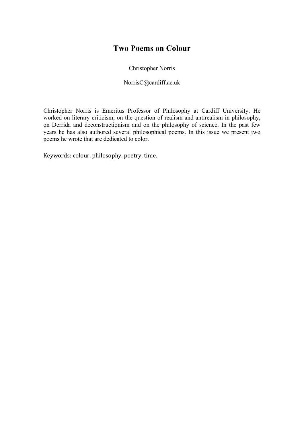### **Two Poems on Colour**

Christopher Norris

NorrisC@cardiff.ac.uk

Christopher Norris is Emeritus Professor of Philosophy at Cardiff University. He worked on literary criticism, on the question of realism and antirealism in philosophy, on Derrida and deconstructionism and on the philosophy of science. In the past few years he has also authored several philosophical poems. In this issue we present two poems he wrote that are dedicated to color.

Keywords: colour, philosophy, poetry, time.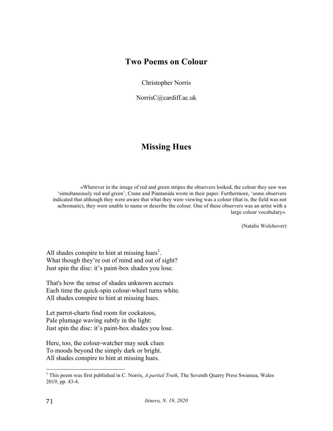### **Two Poems on Colour**

Christopher Norris

NorrisC@cardiff.ac.uk

# **Missing Hues**

«Wherever in the image of red and green stripes the observers looked, the colour they saw was 'simultaneously red and green', Crane and Piantanida wrote in their paper. Furthermore, 'some observers indicated that although they were aware that what they were viewing was a colour (that is, the field was not achromatic), they were unable to name or describe the colour. One of these observers was an artist with a large colour vocabulary».

(Natalie Wolchover)

All shades conspire to hint at missing hues $<sup>1</sup>$ .</sup> What though they're out of mind and out of sight? Just spin the disc: it's paint-box shades you lose.

That's how the sense of shades unknown accrues Each time the quick-spin colour-wheel turns white. All shades conspire to hint at missing hues.

Let parrot-charts find room for cockatoos, Pale plumage waving subtly in the light: Just spin the disc: it's paint-box shades you lose.

Here, too, the colour-watcher may seek clues To moods beyond the simply dark or bright. All shades conspire to hint at missing hues.

<sup>&</sup>lt;sup>1</sup> This poem was first published in C. Norris, *A partial Truth*, The Seventh Quarry Press Swansea, Wales 2019, pp. 43-4.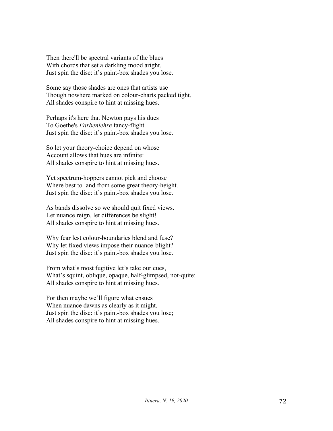Then there'll be spectral variants of the blues With chords that set a darkling mood aright. Just spin the disc: it's paint-box shades you lose.

Some say those shades are ones that artists use Though nowhere marked on colour-charts packed tight. All shades conspire to hint at missing hues.

Perhaps it's here that Newton pays his dues To Goethe's *Farbenlehre* fancy-flight. Just spin the disc: it's paint-box shades you lose.

So let your theory-choice depend on whose Account allows that hues are infinite: All shades conspire to hint at missing hues.

Yet spectrum-hoppers cannot pick and choose Where best to land from some great theory-height. Just spin the disc: it's paint-box shades you lose.

As bands dissolve so we should quit fixed views. Let nuance reign, let differences be slight! All shades conspire to hint at missing hues.

Why fear lest colour-boundaries blend and fuse? Why let fixed views impose their nuance-blight? Just spin the disc: it's paint-box shades you lose.

From what's most fugitive let's take our cues, What's squint, oblique, opaque, half-glimpsed, not-quite: All shades conspire to hint at missing hues.

For then maybe we'll figure what ensues When nuance dawns as clearly as it might. Just spin the disc: it's paint-box shades you lose; All shades conspire to hint at missing hues.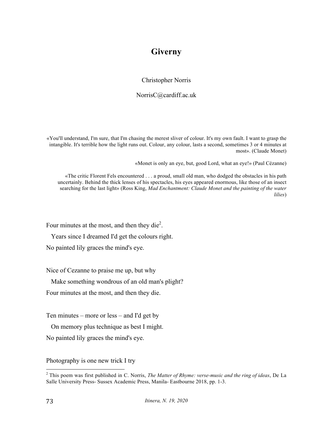## **Giverny**

#### Christopher Norris

#### NorrisC@cardiff.ac.uk

«You'll understand, I'm sure, that I'm chasing the merest sliver of colour. It's my own fault. I want to grasp the intangible. It's terrible how the light runs out. Colour, any colour, lasts a second, sometimes 3 or 4 minutes at most». (Claude Monet)

«Monet is only an eye, but, good Lord, what an eye!» (Paul Cézanne)

«The critic Florent Fels encountered . . . a proud, small old man, who dodged the obstacles in his path uncertainly. Behind the thick lenses of his spectacles, his eyes appeared enormous, like those of an insect searching for the last light» (Ross King, *Mad Enchantment: Claude Monet and the painting of the water lilies*)

Four minutes at the most, and then they die<sup>2</sup>.

Years since I dreamed I'd get the colours right.

No painted lily graces the mind's eye.

Nice of Cezanne to praise me up, but why

Make something wondrous of an old man's plight?

Four minutes at the most, and then they die.

Ten minutes – more or less – and I'd get by

On memory plus technique as best I might.

No painted lily graces the mind's eye.

Photography is one new trick I try

 <sup>2</sup> This poem was first published in C. Norris, *The Matter of Rhyme: verse-music and the ring of ideas*, De La Salle University Press- Sussex Academic Press, Manila- Eastbourne 2018, pp. 1-3.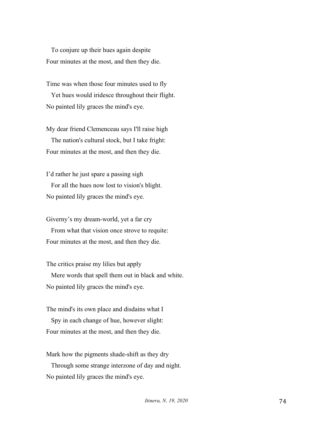To conjure up their hues again despite Four minutes at the most, and then they die.

Time was when those four minutes used to fly Yet hues would iridesce throughout their flight. No painted lily graces the mind's eye.

My dear friend Clemenceau says I'll raise high The nation's cultural stock, but I take fright: Four minutes at the most, and then they die.

I'd rather he just spare a passing sigh For all the hues now lost to vision's blight. No painted lily graces the mind's eye.

Giverny's my dream-world, yet a far cry

From what that vision once strove to requite: Four minutes at the most, and then they die.

The critics praise my lilies but apply

Mere words that spell them out in black and white. No painted lily graces the mind's eye.

The mind's its own place and disdains what I Spy in each change of hue, however slight: Four minutes at the most, and then they die.

Mark how the pigments shade-shift as they dry

 Through some strange interzone of day and night. No painted lily graces the mind's eye.